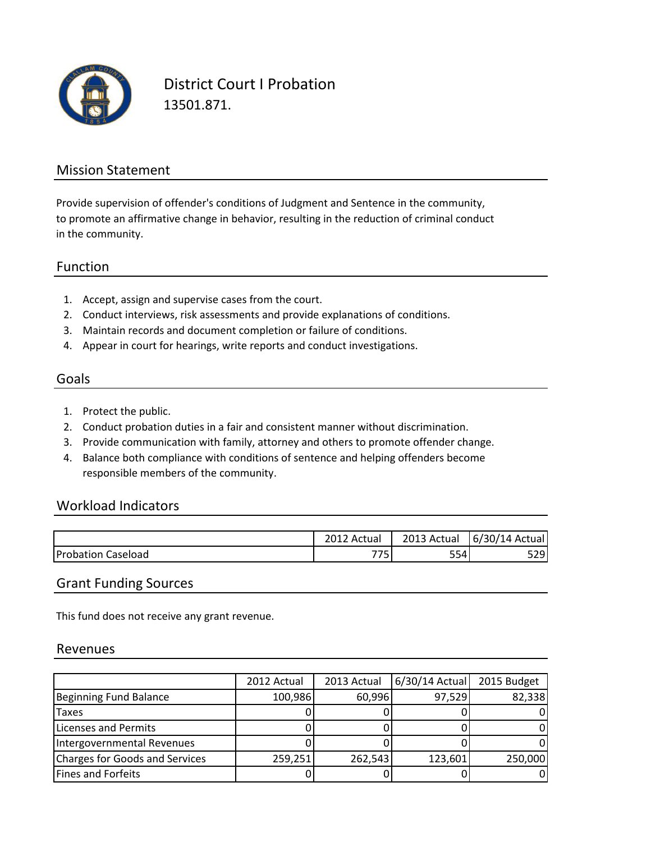

District Court I Probation 13501.871.

## Mission Statement

to promote an affirmative change in behavior, resulting in the reduction of criminal conduct in the community. Provide supervision of offender's conditions of Judgment and Sentence in the community,

### Function

- 1. Accept, assign and supervise cases from the court.
- 2. Conduct interviews, risk assessments and provide explanations of conditions.
- 3. Maintain records and document completion or failure of conditions.
- 4. Appear in court for hearings, write reports and conduct investigations.

#### Goals

- 1. Protect the public.
- 2. Conduct probation duties in a fair and consistent manner without discrimination.
- 3. Provide communication with family, attorney and others to promote offender change.
- 4. Balance both compliance with conditions of sentence and helping offenders become responsible members of the community.

#### Workload Indicators

|           | 2012 Actual | 2013<br>Actual | $\sqrt{ }$<br>Actual<br>14<br>6/30/ |
|-----------|-------------|----------------|-------------------------------------|
| Probation | <u>___</u>  | <b>--</b>      | 72Q)                                |
| Caseload  | َ ب         | ر ر            | ر ے ر                               |

## Grant Funding Sources

This fund does not receive any grant revenue.

#### Revenues

|                                | 2012 Actual | 2013 Actual | 6/30/14 Actual | 2015 Budget |
|--------------------------------|-------------|-------------|----------------|-------------|
| Beginning Fund Balance         | 100,986     | 60,996      | 97,529         | 82,338      |
| Taxes                          |             |             |                |             |
| Licenses and Permits           |             |             |                |             |
| Intergovernmental Revenues     |             |             |                |             |
| Charges for Goods and Services | 259,251     | 262,543     | 123,601        | 250,000     |
| <b>Fines and Forfeits</b>      |             |             |                |             |